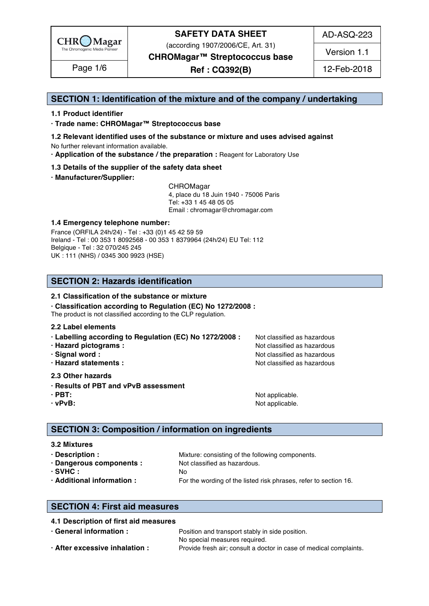

(according 1907/2006/CE, Art. 31)

AD-ASQ-223

Version 1.1

**CHROMagar™ Streptococcus base**

**Ref : CQ392(B)** Page 1/6 12-Feb-2018

### **SECTION 1: Identification of the mixture and of the company / undertaking** 1

#### **1.1 Product identifier** 2

**· Trade name: CHROMagar™ Streptococcus base** 3

- **1.2 Relevant identified uses of the substance or mixture and uses advised against** 4 No further relevant information available. 5
- **· Application of the substance / the preparation :** Reagent for Laboratory Use 6

#### **1.3 Details of the supplier of the safety data sheet** 7

**· Manufacturer/Supplier:** 8

CHROMagar 9 4, place du 18 Juin 1940 - 75006 Paris 10 Tel: +33 1 45 48 05 05 11 Email : chromagar@chromagar.com 12

#### **1.4 Emergency telephone number:**  $\blacksquare$  **1.4 Emergency telephone number:**

France (ORFILA 24h/24) - Tel: +33 (0)1 45 42 59 59 Ireland - Tel: 00 353 1 8092568 - 00 353 1 8379964 (24h/24) EU Tel: 112 Belgique - Tel : 32 070/245 245 16 UK : 111 (NHS) / 0345 300 9923 (HSE) 17

### **SECTION 2: Hazards identification** 20

#### **2.1 Classification of the substance or mixture**

**· Classification according to Regulation (EC) No 1272/2008 :** 22

The product is not classified according to the CLP regulation.

#### **2.2 Label elements** 24

- **· Labelling according to Regulation (EC) No 1272/2008 : Not classified as hazardous**
- 
- 
- 

#### **2.3 Other hazards** 29

- **· Results of PBT and vPvB assessment** 30
- 
- 

**· Hazard pictograms :** Not classified as hazardous 26 and 26 and 26 and 26 and 26 and 26 and 26 and 26 and 26 and 26 and 26 and 26 and 26 and 26 and 26 and 26 and 26 and 26 and 26 and 26 and 26 and 26 and 26 and 26 and 26 **· Signal word :** Not classified as hazardous 27 and 27 and 27 and 27 and 27 and 27 and 27 and 27 and 27 and 27 and 27 and 27 and 27 and 27 and 27 and 27 and 27 and 27 and 27 and 27 and 27 and 27 and 27 and 27 and 27 and 2 **· Hazard statements :** Not classified as hazardous 28 and 28 and 28 and 28 and 28 and 28 and 28 and 28 and 28 and 28 and 28 and 28 and 28 and 28 and 28 and 28 and 28 and 28 and 28 and 28 and 28 and 28 and 28 and 28 and 28

**· PBT:**  $\blacksquare$  **PBT:**  $\blacksquare$  **PBT:**  $\blacksquare$  **Not applicable.**  $\blacksquare$   $\blacksquare$   $\blacksquare$   $\blacksquare$   $\blacksquare$   $\blacksquare$   $\blacksquare$   $\blacksquare$   $\blacksquare$   $\blacksquare$   $\blacksquare$   $\blacksquare$   $\blacksquare$   $\blacksquare$   $\blacksquare$   $\blacksquare$   $\blacksquare$   $\blacksquare$   $\blacksquare$   $\blacksquare$   $\blacksquare$   $\blacksquare$   $\blacksquare$ **· vPvB:**  $\bullet$  **·**  $\bullet$  **122 ·**  $\bullet$  **122 ·**  $\bullet$  **·**  $\bullet$  **·**  $\bullet$  **·**  $\bullet$  **·**  $\bullet$  **·**  $\bullet$  **·**  $\bullet$  **·**  $\bullet$  **·**  $\bullet$  **·**  $\bullet$  **·**  $\bullet$  **·**  $\bullet$  **·**  $\bullet$  **·**  $\bullet$  **·**  $\bullet$  **·**  $\bullet$  **·**  $\bullet$  **·**  $\bullet$  **·**  $\bullet$  **·**  $\$ 

### **SECTION 3: Composition / information on ingredients**

#### **3.2 Mixtures** 36

**· Description : 1988** Mixture: consisting of the following components. **· Dangerous components :** Not classified as hazardous. 388 and 288 and 288 and 288 and 288 and 288 and 288 and 288 and 288 and 288 and 288 and 288 and 288 and 288 and 288 and 288 and 288 and 288 and 288 and 288 and 288 an **· SVHC :** No 39 **· Additional information :** For the wording of the listed risk phrases, refer to section 16. 40

### **SECTION 4: First aid measures** 43

### **4.1 Description of first aid measures** 44

| · General information :        | Position and transport stably in side position.                    |  |  |
|--------------------------------|--------------------------------------------------------------------|--|--|
|                                | neasures required.<br>No special                                   |  |  |
| · After excessive inhalation : | Provide fresh air; consult a doctor in case of medical complaints. |  |  |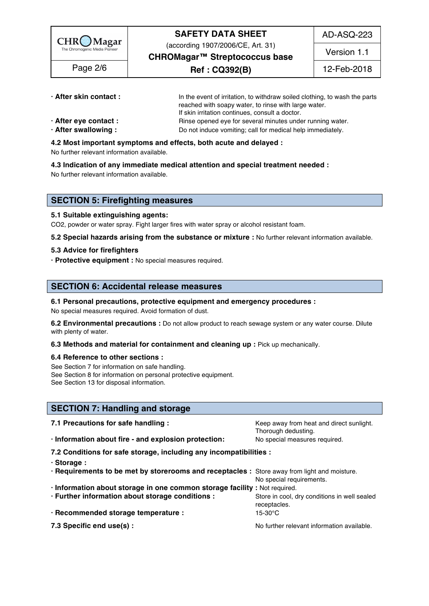

(according 1907/2006/CE, Art. 31)

AD-ASQ-223

**CHROMagar™ Streptococcus base**

**Ref : CQ392(B)** Page 2/6 12-Feb-2018

Version 1.1

**· After skin contact : i i i** the event of irritation, to withdraw soiled clothing, to wash the parts

- 
- reached with soapy water, to rinse with large water. If skin irritation continues, consult a doctor.
- **After eye contact : Rinse opened eye for several minutes under running water.**
- **· After swallowing :** Do not induce vomiting; call for medical help immediately.

#### **4.2 Most important symptoms and effects, both acute and delayed :** 53

No further relevant information available.  $\frac{1}{2}$  and  $\frac{1}{2}$  and  $\frac{1}{2}$  and  $\frac{1}{2}$  and  $\frac{1}{2}$  and  $\frac{1}{2}$  and  $\frac{1}{2}$  and  $\frac{1}{2}$  and  $\frac{1}{2}$  and  $\frac{1}{2}$  and  $\frac{1}{2}$  and  $\frac{1}{2}$  and  $\frac{1}{2}$  a

**4.3 Indication of any immediate medical attention and special treatment needed :** 55

No further relevant information available. 56

### **SECTION 5: Firefighting measures**

#### **5.1 Suitable extinguishing agents:** 60

CO2, powder or water spray. Fight larger fires with water spray or alcohol resistant foam.

**5.2 Special hazards arising from the substance or mixture :** No further relevant information available. 62

### **5.3 Advice for firefighters** 63

**· Protective equipment :** No special measures required. 64

### **SECTION 6: Accidental release measures**

**6.1 Personal precautions, protective equipment and emergency procedures :** 68

No special measures required. Avoid formation of dust.

**6.2 Environmental precautions** : Do not allow product to reach sewage system or any water course. Dilute with plenty of water. The contract of the contract of the contract of the contract of the contract of the contract of the contract of the contract of the contract of the contract of the contract of the contract of the cont

**6.3 Methods and material for containment and cleaning up : Pick up mechanically.** 

#### **6.4 Reference to other sections :** 73

See Section 7 for information on safe handling. The section of the section of the section of the section of the section of the section of the section of the section of the section of the section of the section of the secti See Section 8 for information on personal protective equipment.<br>See Section 13 for disposal information. See Section 13 for disposal information. The section of the section of the section of the section of the section of the section of the section of the section of the section of the section of the section of the section of t

### **SECTION 7: Handling and storage**

| 7.1 Precautions for safe handling :                                                          | Keep away from heat and direct sunlight.     |
|----------------------------------------------------------------------------------------------|----------------------------------------------|
|                                                                                              | Thorough dedusting.                          |
| · Information about fire - and explosion protection:                                         | No special measures required.                |
| 7.2 Conditions for safe storage, including any incompatibilities :                           |                                              |
| · Storage:                                                                                   |                                              |
| · Requirements to be met by storerooms and receptacles : Store away from light and moisture. |                                              |
|                                                                                              | No special requirements.                     |
| · Information about storage in one common storage facility : Not required.                   |                                              |
| · Further information about storage conditions :                                             | Store in cool, dry conditions in well sealed |
|                                                                                              | receptacles.                                 |
| · Recommended storage temperature :                                                          | 15-30°C                                      |
| 7.3 Specific end use(s) :                                                                    | No further relevant information available.   |
|                                                                                              |                                              |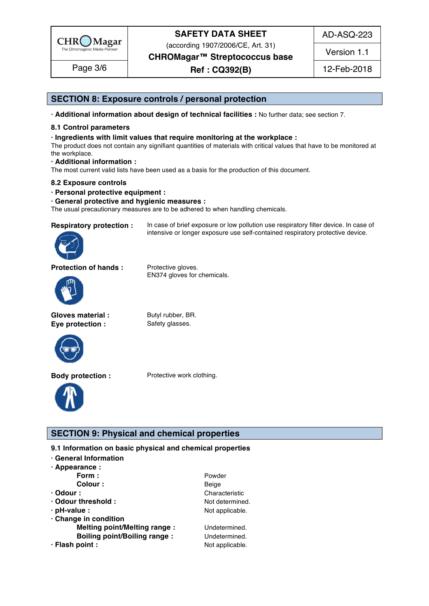

(according 1907/2006/CE, Art. 31)

**CHROMagar™ Streptococcus base**

### **Ref : CQ392(B)** Page 3/6 12-Feb-2018

AD-ASQ-223

Version 1.1

### **SECTION 8: Exposure controls / personal protection**

**· Additional information about design of technical facilities :** No further data; see section 7. 96

#### **8.1 Control parameters** 97

**· Ingredients with limit values that require monitoring at the workplace :** 98

The product does not contain any signifiant quantities of materials with critical values that have to be monitored at  $\hbox{the workplace.}$ 

intensive or longer exposure use self-contained respiratory protective device.

**· Additional information :** 101

The most current valid lists have been used as a basis for the production of this document.

#### **8.2 Exposure controls** 103

**· Personal protective equipment :** 104

#### **· General protective and hygienic measures :** 105

The usual precautionary measures are to be adhered to when handling chemicals.

**Respiratory protection :** In case of brief exposure or low pollution use respiratory filter device. In case of



**Protection of hands :** Protective gloves.



**Gloves material :** Butyl rubber, BR.

**Eye protection :** Safety glasses.

EN374 gloves for chemicals.



**Body protection :** Protective work clothing.



### **SECTION 9: Physical and chemical properties**

**9.1 Information on basic physical and chemical properties** 

- **· General Information** 112
- **· Appearance :** 113

| Form :                              | Powder          |
|-------------------------------------|-----------------|
| Colour:                             | Beige           |
| $\cdot$ Odour :                     | Characteristic  |
| · Odour threshold:                  | Not determined. |
| $\cdot$ pH-value :                  | Not applicable. |
| Change in condition                 |                 |
| <b>Melting point/Melting range:</b> | Undetermined.   |
| <b>Boiling point/Boiling range:</b> | Undetermined.   |
| · Flash point :                     | Not applicable. |
|                                     |                 |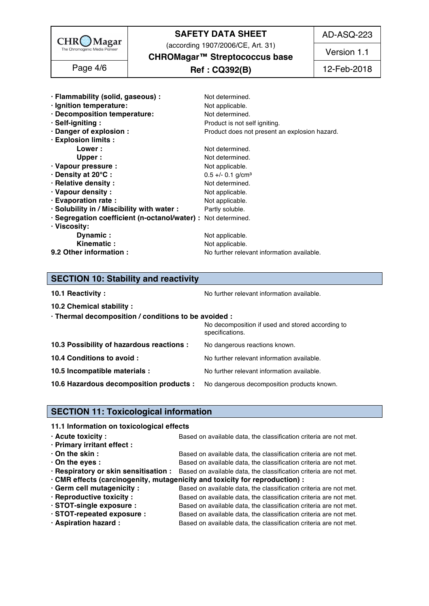

(according 1907/2006/CE, Art. 31)

AD-ASQ-223

Version 1.1

**CHROMagar™ Streptococcus base**

### **Ref : CQ392(B)** Page 4/6 12-Feb-2018

| · Flammability (solid, gaseous) :                             | Not determined.                               |
|---------------------------------------------------------------|-----------------------------------------------|
| · Ignition temperature:                                       | Not applicable.                               |
| · Decomposition temperature:                                  | Not determined.                               |
| · Self-igniting:                                              | Product is not self igniting.                 |
| · Danger of explosion :                                       | Product does not present an explosion hazard. |
| · Explosion limits :                                          |                                               |
| Lower:                                                        | Not determined.                               |
| Upper :                                                       | Not determined.                               |
| · Vapour pressure :                                           | Not applicable.                               |
| · Density at 20°C:                                            | $0.5 +/- 0.1$ g/cm <sup>3</sup>               |
| · Relative density :                                          | Not determined.                               |
| · Vapour density:                                             | Not applicable.                               |
| · Evaporation rate :                                          | Not applicable.                               |
| · Solubility in / Miscibility with water :                    | Partly soluble.                               |
| · Segregation coefficient (n-octanol/water) : Not determined. |                                               |
| · Viscosity:                                                  |                                               |
| <b>Dynamic:</b>                                               | Not applicable.                               |
| Kinematic:                                                    | Not applicable.                               |
| 9.2 Other information :                                       | No further relevant information available.    |

# **SECTION 10: Stability and reactivity**

**10.1 Reactivity :** No further relevant information available. 155.1 and the set of the set of the Norther relevant information available.

| · Thermal decomposition / conditions to be avoided :                               |
|------------------------------------------------------------------------------------|
| No decomposition if used and stored according to<br>specifications.                |
| No dangerous reactions known.                                                      |
| No further relevant information available.                                         |
| No further relevant information available.                                         |
| 10.6 Hazardous decomposition products : No dangerous decomposition products known. |
|                                                                                    |

### **SECTION 11: Toxicological information**

### **11.1 Information on toxicological effects**

| $\cdot$ Acute toxicity :    | Based on available data, the classification criteria are not met.                                       |
|-----------------------------|---------------------------------------------------------------------------------------------------------|
| · Primary irritant effect : |                                                                                                         |
| $\cdot$ On the skin :       | Based on available data, the classification criteria are not met.                                       |
| $\cdot$ On the eyes :       | Based on available data, the classification criteria are not met.                                       |
|                             | . Respiratory or skin sensitisation : Based on available data, the classification criteria are not met. |
|                             | · CMR effects (carcinogenity, mutagenicity and toxicity for reproduction) :                             |
| Germ cell mutagenicity:     | Based on available data, the classification criteria are not met.                                       |
| · Reproductive toxicity :   | Based on available data, the classification criteria are not met.                                       |
| · STOT-single exposure :    | Based on available data, the classification criteria are not met.                                       |
| · STOT-repeated exposure :  | Based on available data, the classification criteria are not met.                                       |
| · Aspiration hazard:        | Based on available data, the classification criteria are not met.                                       |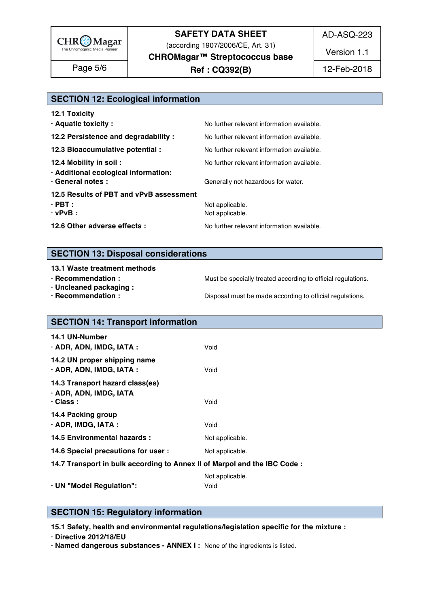

(according 1907/2006/CE, Art. 31)

AD-ASQ-223

Version 1.1

**CHROMagar™ Streptococcus base**

**Ref : CQ392(B)** Page 5/6 12-Feb-2018

# **SECTION 12: Ecological information**

| No further relevant information available.<br>No further relevant information available.<br>No further relevant information available.<br>No further relevant information available.<br>Generally not hazardous for water.<br>12.5 Results of PBT and vPvB assessment<br>Not applicable.<br>Not applicable.<br>No further relevant information available. | <b>12.1 Toxicity</b>                                                                 |  |
|-----------------------------------------------------------------------------------------------------------------------------------------------------------------------------------------------------------------------------------------------------------------------------------------------------------------------------------------------------------|--------------------------------------------------------------------------------------|--|
|                                                                                                                                                                                                                                                                                                                                                           | · Aquatic toxicity :                                                                 |  |
|                                                                                                                                                                                                                                                                                                                                                           | 12.2 Persistence and degradability :                                                 |  |
|                                                                                                                                                                                                                                                                                                                                                           | 12.3 Bioaccumulative potential :                                                     |  |
|                                                                                                                                                                                                                                                                                                                                                           | 12.4 Mobility in soil :<br>· Additional ecological information:<br>· General notes : |  |
|                                                                                                                                                                                                                                                                                                                                                           |                                                                                      |  |
|                                                                                                                                                                                                                                                                                                                                                           | $\cdot$ PBT :<br>$\cdot$ vPvB :                                                      |  |
|                                                                                                                                                                                                                                                                                                                                                           | 12.6 Other adverse effects :                                                         |  |

### **SECTION 13: Disposal considerations**

#### **13.1 Waste treatment methods in a straight straight straight straight straight straight straight straight straight straight straight straight straight straight straight straight straight straight straight straight straigh**

- 
- **· Uncleaned packaging :** 189
- 

**· Recommendation : Must be specially treated according to official regulations.** 

**· Recommendation : Disposal must be made according to official regulations.** 

# **SECTION 14: Transport information**

| <b>14.1 UN-Number</b><br>· ADR, ADN, IMDG, IATA :                            | Void            |
|------------------------------------------------------------------------------|-----------------|
| 14.2 UN proper shipping name<br>$\cdot$ ADR, ADN, IMDG, IATA :               | Void            |
| 14.3 Transport hazard class(es)<br>· ADR, ADN, IMDG, IATA<br>$\cdot$ Class : | Void            |
| 14.4 Packing group<br>$\cdot$ ADR, IMDG, IATA :                              | Void            |
| 14.5 Environmental hazards :                                                 | Not applicable. |
| 14.6 Special precautions for user :                                          | Not applicable. |
| 14.7 Transport in bulk according to Annex II of Marpol and the IBC Code:     |                 |

Not applicable. 206 and 206 and 206 and 206 and 206 and 206 and 206 and 206 and 206 and 206 and 206 and 206 and **· UN "Model Regulation":** Void 207

### **SECTION 15: Regulatory information**

**15.1 Safety, health and environmental regulations/legislation specific for the mixture :** 211

**· Directive 2012/18/EU** 212

**· Named dangerous substances - ANNEX I :** None of the ingredients is listed. 213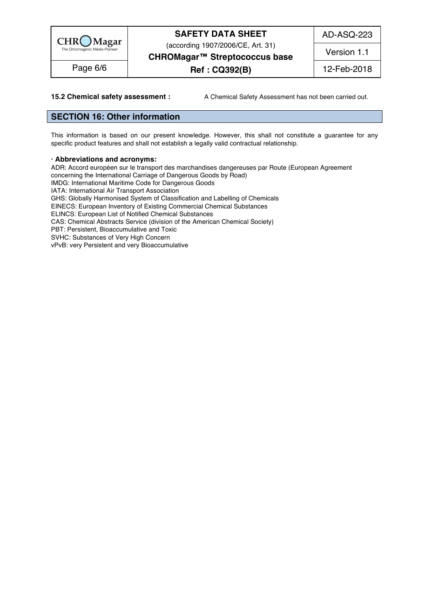

(according 1907/2006/CE, Art. 31)

AD-ASQ-223

Version 1.1

**CHROMagar™ Streptococcus base**

# **Ref : CQ392(B)** Page 6/6 12-Feb-2018

**15.2 Chemical safety assessment :** A Chemical Safety Assessment has not been carried out.

### **SECTION 16: Other information** 216

This information is based on our present knowledge. However, this shall not constitute a guarantee for any specific product features and shall not establish a legally valid contractual relationship.

#### **· Abbreviations and acronyms:** 221

ADR: Accord européen sur le transport des marchandises dangereuses par Route (European Agreement concerning the International Carriage of Dangerous Goods by Road) IMDG: International Maritime Code for Dangerous Goods IATA: International Air Transport Association GHS: Globally Harmonised System of Classification and Labelling of Chemicals EINECS: European Inventory of Existing Commercial Chemical Substances ELINCS: European List of Notified Chemical Substances CAS: Chemical Abstracts Service (division of the American Chemical Society) PBT: Persistent, Bioaccumulative and Toxic<br>SVHC: Substances of Very High Concern SVHC: Substances of Very High Concern 2313 Processes 2313 Processes 2313 Processes 2313 Processes 2313 Processes vPvB: very Persistent and very Bioaccumulative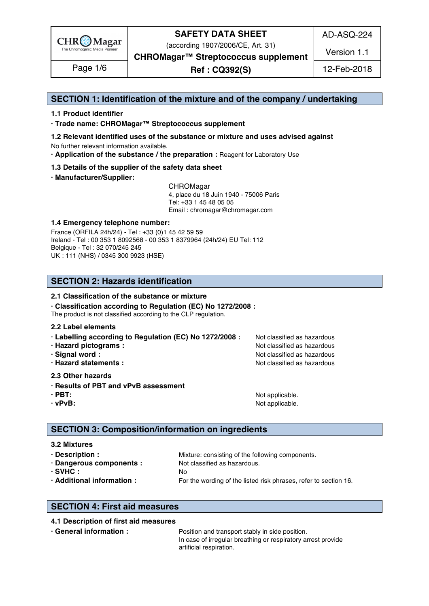

(according 1907/2006/CE, Art. 31)

AD-ASQ-224

Version 1.1

**CHROMagar™ Streptococcus supplement**

**Ref : CQ392(S)** Page 1/6 12-Feb-2018

### **SECTION 1: Identification of the mixture and of the company / undertaking** 1

### **1.1 Product identifier** 2

**· Trade name: CHROMagar™ Streptococcus supplement** 3

- **1.2 Relevant identified uses of the substance or mixture and uses advised against** 4 No further relevant information available. 5
- **· Application of the substance / the preparation :** Reagent for Laboratory Use 6

#### **1.3 Details of the supplier of the safety data sheet** 7

**· Manufacturer/Supplier:** 8

CHROMagar 9 4, place du 18 Juin 1940 - 75006 Paris 10 Tel: +33 1 45 48 05 05 11 Email : chromagar@chromagar.com 12

#### **1.4 Emergency telephone number:**  $\blacksquare$  **1.4 Emergency telephone number:**

France (ORFILA 24h/24) - Tel: +33 (0)1 45 42 59 59 Ireland - Tel: 00 353 1 8092568 - 00 353 1 8379964 (24h/24) EU Tel: 112 Belgique - Tel : 32 070/245 245 16 UK : 111 (NHS) / 0345 300 9923 (HSE) 17

### **SECTION 2: Hazards identification** 20

#### **2.1 Classification of the substance or mixture**

**· Classification according to Regulation (EC) No 1272/2008 :** 22

The product is not classified according to the CLP regulation.

#### **2.2 Label elements** 24

- **· Labelling according to Regulation (EC) No 1272/2008 : Not classified as hazardous**
- 
- 
- 

#### **2.3 Other hazards** 29

- **· Results of PBT and vPvB assessment** 30
- 
- 

**· Hazard pictograms :** Not classified as hazardous 26 and 26 and 26 and 26 and 26 and 26 and 26 and 26 and 26 and 26 and 26 and 26 and 26 and 26 and 26 and 26 and 26 and 26 and 26 and 26 and 26 and 26 and 26 and 26 and 26 **· Signal word :** Not classified as hazardous 27 and 27 and 27 and 27 and 27 and 27 and 27 and 27 and 27 and 27 and 27 and 27 and 27 and 27 and 27 and 27 and 27 and 27 and 27 and 27 and 27 and 27 and 27 and 27 and 27 and 2 **· Hazard statements :** Not classified as hazardous 28 and 28 and 28 and 28 and 28 and 28 and 28 and 28 and 28 and 28 and 28 and 28 and 28 and 28 and 28 and 28 and 28 and 28 and 28 and 28 and 28 and 28 and 28 and 28 and 28

**· PBT:**  $\blacksquare$  **PBT:**  $\blacksquare$  **PBT:**  $\blacksquare$  **Not applicable.**  $\blacksquare$   $\blacksquare$   $\blacksquare$   $\blacksquare$   $\blacksquare$   $\blacksquare$   $\blacksquare$   $\blacksquare$   $\blacksquare$   $\blacksquare$   $\blacksquare$   $\blacksquare$   $\blacksquare$   $\blacksquare$   $\blacksquare$   $\blacksquare$   $\blacksquare$   $\blacksquare$   $\blacksquare$   $\blacksquare$   $\blacksquare$   $\blacksquare$   $\blacksquare$ **· vPvB:**  $\bullet$  **·**  $\bullet$  **122 ·**  $\bullet$  **122 ·**  $\bullet$  **·**  $\bullet$  **·**  $\bullet$  **·**  $\bullet$  **·**  $\bullet$  **·**  $\bullet$  **·**  $\bullet$  **·**  $\bullet$  **·**  $\bullet$  **·**  $\bullet$  **·**  $\bullet$  **·**  $\bullet$  **·**  $\bullet$  **·**  $\bullet$  **·**  $\bullet$  **·**  $\bullet$  **·**  $\bullet$  **·**  $\bullet$  **·**  $\bullet$  **·**  $\$ 

### **SECTION 3: Composition/information on ingredients**

#### **3.2 Mixtures** 36

| · Description :            | Mixture: consisting of the following components.                 |
|----------------------------|------------------------------------------------------------------|
| · Dangerous components :   | Not classified as hazardous.                                     |
| $\cdot$ SVHC :             |                                                                  |
| · Additional information : | For the wording of the listed risk phrases, refer to section 16. |

### **SECTION 4: First aid measures** 43

#### **4.1 Description of first aid measures** 44

**• General information : Position and transport stably in side position.** 455 and the position of the position of the position of the position of the position of the position of the position of the position of the positi In case of irregular breathing or respiratory arrest provide artificial respiration. artificial respiration. 47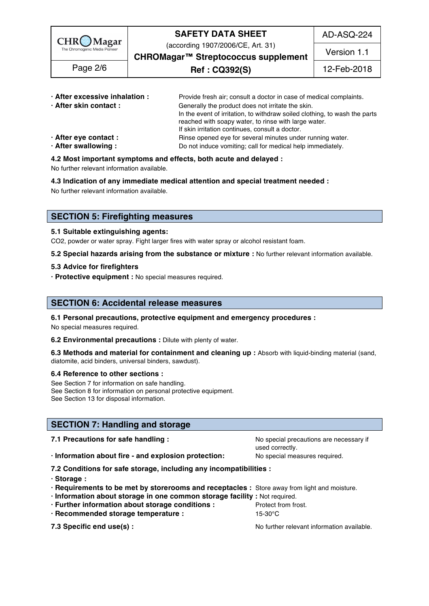

(according 1907/2006/CE, Art. 31)

AD-ASQ-224

Version 1.1

**CHROMagar™ Streptococcus supplement**

**Ref : CQ392(S)** Page 2/6 12-Feb-2018

| · After excessive inhalation : | Provide fresh air; consult a doctor in case of medical complaints.         |
|--------------------------------|----------------------------------------------------------------------------|
| · After skin contact:          | Generally the product does not irritate the skin.                          |
|                                | In the event of irritation, to withdraw soiled clothing, to wash the parts |
|                                | reached with soapy water, to rinse with large water.                       |
|                                | If skin irritation continues, consult a doctor.                            |
| · After eye contact :          | Rinse opened eye for several minutes under running water.                  |
| · After swallowing:            | Do not induce vomiting; call for medical help immediately.                 |
|                                |                                                                            |

### **4.2 Most important symptoms and effects, both acute and delayed :** 55

No further relevant information available. 56

**4.3 Indication of any immediate medical attention and special treatment needed :** 57

No further relevant information available. Superstanding the state of the state of the state of the state of the state of the state of the state of the state of the state of the state of the state of the state of the state

### **SECTION 5: Firefighting measures**

#### **5.1 Suitable extinguishing agents:** 62

CO2, powder or water spray. Fight larger fires with water spray or alcohol resistant foam.

**5.2 Special hazards arising from the substance or mixture :** No further relevant information available. 64

#### **5.3 Advice for firefighters** 65

**· Protective equipment :** No special measures required. 66

### **SECTION 6: Accidental release measures**

#### **6.1 Personal precautions, protective equipment and emergency procedures :** 70

No special measures required. The contract of the contract of the contract of the contract of the contract of the contract of the contract of the contract of the contract of the contract of the contract of the contract of

**6.2 Environmental precautions : Dilute with plenty of water.** 

**6.3 Methods and material for containment and cleaning up :** Absorb with liquid-binding material (sand, diatomite, acid binders, universal binders, sawdust).

#### **6.4 Reference to other sections :** 75

See Section 7 for information on safe handling. See Section 8 for information on personal protective equipment.<br>See Section 13 for disposal information. See Section 13 for disposal information. The section of the section of the section of the section of the section of the section of the section of the section of the section of the section of the section of the section of t

### **SECTION 7: Handling and storage**

| 7.1 Precautions for safe handling :                                                          | No special precautions are necessary if<br>used correctly. |  |  |  |
|----------------------------------------------------------------------------------------------|------------------------------------------------------------|--|--|--|
| · Information about fire - and explosion protection:                                         | No special measures required.                              |  |  |  |
| 7.2 Conditions for safe storage, including any incompatibilities :                           |                                                            |  |  |  |
| · Storage:                                                                                   |                                                            |  |  |  |
| · Requirements to be met by storerooms and receptacles : Store away from light and moisture. |                                                            |  |  |  |
| · Information about storage in one common storage facility : Not required.                   |                                                            |  |  |  |
| · Further information about storage conditions :                                             | Protect from frost.                                        |  |  |  |
| · Recommended storage temperature :                                                          | 15-30°C                                                    |  |  |  |
| 7.3 Specific end use(s) :                                                                    | No further relevant information available.                 |  |  |  |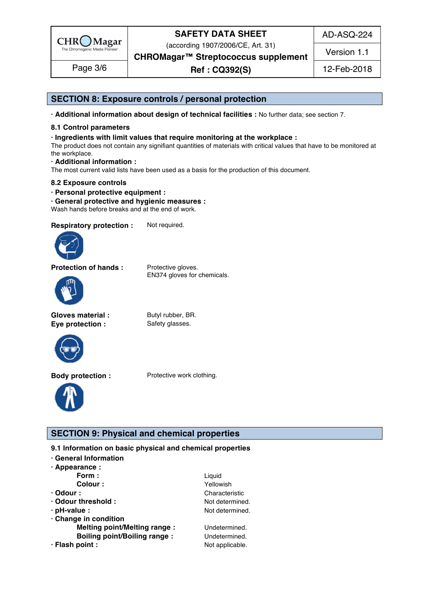

(according 1907/2006/CE, Art. 31)

AD-ASQ-224

Version 1.1

**CHROMagar™ Streptococcus supplement**

**Ref : CQ392(S)** Page 3/6 12-Feb-2018

### **SECTION 8: Exposure controls / personal protection**

**· Additional information about design of technical facilities :** No further data; see section 7. 96

### **8.1 Control parameters** 97

#### **· Ingredients with limit values that require monitoring at the workplace :** 98

The product does not contain any signifiant quantities of materials with critical values that have to be monitored at the workplace. the workplace. The control of the control of the control of the control of the control of the control of the control of the control of the control of the control of the control of the control of the control of the control

**· Additional information :** 101

The most current valid lists have been used as a basis for the production of this document.

#### **8.2 Exposure controls** 103

- **· Personal protective equipment :** 104
- **· General protective and hygienic measures :** 105

Wash hands before breaks and at the end of work.

**Respiratory protection :** Not required.



**Protection of hands :** Protective gloves.

EN374 gloves for chemicals.



**Gloves material :** Butyl rubber, BR. **Eye protection :** Safety glasses.



**Body protection :** Protective work clothing.



### **SECTION 9: Physical and chemical properties**

**9.1 Information on basic physical and chemical properties** 

- **· General Information** 112
- **· Appearance :** 113

|                                     | Liquid          |
|-------------------------------------|-----------------|
| Form :<br>Colour :                  | Yellowish       |
| $\cdot$ Odour :                     | Characteristic  |
| · Odour threshold:                  | Not determined. |
| $\cdot$ pH-value :                  | Not determined. |
| Change in condition                 |                 |
| <b>Melting point/Melting range:</b> | Undetermined.   |
| <b>Boiling point/Boiling range:</b> | Undetermined.   |
| · Flash point :                     | Not applicable. |
|                                     |                 |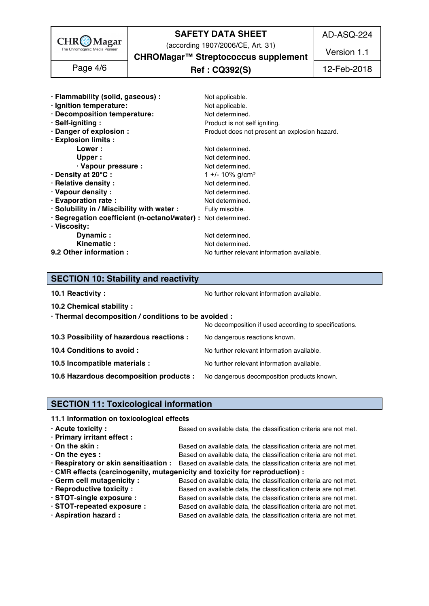

(according 1907/2006/CE, Art. 31)

AD-ASQ-224

Version 1.1

**CHROMagar™ Streptococcus supplement**

**Ref : CQ392(S)** Page 4/6 12-Feb-2018

| · Flammability (solid, gaseous) :                             | Not applicable.                               |
|---------------------------------------------------------------|-----------------------------------------------|
| · Ignition temperature:                                       | Not applicable.                               |
| · Decomposition temperature:                                  | Not determined.                               |
| · Self-igniting:                                              | Product is not self igniting.                 |
| · Danger of explosion :                                       | Product does not present an explosion hazard. |
| · Explosion limits :                                          |                                               |
| Lower :                                                       | Not determined.                               |
| Upper:                                                        | Not determined.                               |
| · Vapour pressure :                                           | Not determined.                               |
| · Density at 20°C:                                            | 1 +/- 10% g/cm <sup>3</sup>                   |
| · Relative density :                                          | Not determined.                               |
| · Vapour density:                                             | Not determined.                               |
| · Evaporation rate :                                          | Not determined.                               |
| · Solubility in / Miscibility with water :                    | Fully miscible.                               |
| · Segregation coefficient (n-octanol/water) : Not determined. |                                               |
| · Viscosity:                                                  |                                               |
| Dynamic:                                                      | Not determined.                               |
| Kinematic:                                                    | Not determined.                               |
| 9.2 Other information :                                       | No further relevant information available.    |

### **SECTION 10: Stability and reactivity**

|  | 10.1 Reactivity: |  |
|--|------------------|--|

**10.1 Reactivity :** No further relevant information available. 155.1 and the set of the set of the Norther relevant information available.

| $\cdot$ Thermal decomposition / conditions to be avoided :                         |                                                       |
|------------------------------------------------------------------------------------|-------------------------------------------------------|
|                                                                                    | No decomposition if used according to specifications. |
| 10.3 Possibility of hazardous reactions :                                          | No dangerous reactions known.                         |
| 10.4 Conditions to avoid :                                                         | No further relevant information available.            |
| 10.5 Incompatible materials :                                                      | No further relevant information available.            |
| 10.6 Hazardous decomposition products : No dangerous decomposition products known. |                                                       |

### **SECTION 11: Toxicological information**

#### **11.1 Information on toxicological effects**

| $\cdot$ Acute toxicity :    | Based on available data, the classification criteria are not met.                                       |
|-----------------------------|---------------------------------------------------------------------------------------------------------|
| · Primary irritant effect : |                                                                                                         |
| $\cdot$ On the skin :       | Based on available data, the classification criteria are not met.                                       |
| $\cdot$ On the eyes :       | Based on available data, the classification criteria are not met.                                       |
|                             | · Respiratory or skin sensitisation : Based on available data, the classification criteria are not met. |
|                             | · CMR effects (carcinogenity, mutagenicity and toxicity for reproduction) :                             |
| · Germ cell mutagenicity :  | Based on available data, the classification criteria are not met.                                       |
| · Reproductive toxicity :   | Based on available data, the classification criteria are not met.                                       |
| · STOT-single exposure :    | Based on available data, the classification criteria are not met.                                       |

**· STOT-repeated exposure :** Based on available data, the classification criteria are not met. 166 **· Aspiration hazard :** Based on available data, the classification criteria are not met.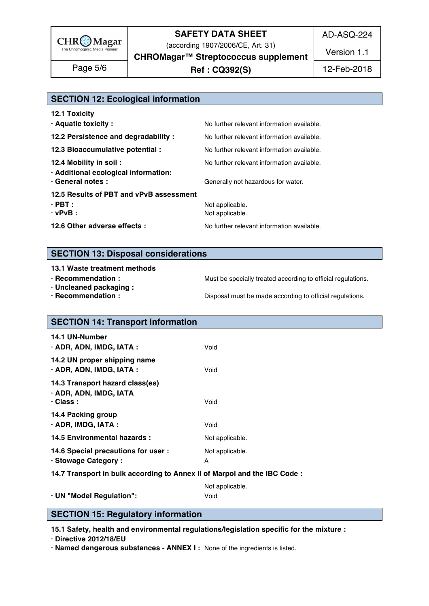

(according 1907/2006/CE, Art. 31) **CHROMagar™ Streptococcus supplement** AD-ASQ-224

Version 1.1

**Ref : CQ392(S)** Page 5/6 12-Feb-2018

| <b>SECTION 12: Ecological information</b> |                                            |
|-------------------------------------------|--------------------------------------------|
| 12.1 Toxicity                             |                                            |
| · Aquatic toxicity:                       | No further relevant information available. |
| 12.2 Persistence and degradability:       | No further relevant information available. |

**12.3 Bioaccumulative potential :** No further relevant information available. **12.4 Mobility in soil : No further relevant information available.** 176.  $\cdot$  Additional ecological information: **• General notes :** The state of Generally not hazardous for water. 178 and the state of the state of the state of the state of the state of the state of the state of the state of the state of the state of the state of the **12.5 Results of PBT and vPvB assessment** 179 **· PBT :** Not applicable**.** 180 **· vPvB :** Not applicable. 1812 **1822 Not applicable.** 1812 **1823 1828 1829 1829 1829 1829 1829 1829 1829 1829 1829 1829 1829 1829 1829 1829 1829 1829 1829 1829 1829 1829 182** 

**12.6 Other adverse effects :** No further relevant information available.

**SECTION 13: Disposal considerations** 

**13.1 Waste treatment methods in a set of the set of the set of the set of the set of the set of the set of the set of the set of the set of the set of the set of the set of the set of the set of the set of the set of the** 

- 
- **· Uncleaned packaging :** 188
- 

**· Recommendation : Must be specially treated according to official regulations.** 

**· Recommendation : Disposal must be made according to official regulations.** 

| <b>SECTION 14: Transport information</b>                                     |                         |
|------------------------------------------------------------------------------|-------------------------|
| 14.1 UN-Number<br>· ADR, ADN, IMDG, IATA :                                   | Void                    |
| 14.2 UN proper shipping name<br>· ADR, ADN, IMDG, IATA :                     | Void                    |
| 14.3 Transport hazard class(es)<br>· ADR, ADN, IMDG, IATA<br>$\cdot$ Class : | Void                    |
| 14.4 Packing group<br>$\cdot$ ADR, IMDG, IATA :                              | Void                    |
| 14.5 Environmental hazards :                                                 | Not applicable.         |
| 14.6 Special precautions for user :<br>· Stowage Category:                   | Not applicable.         |
| 14.7 Transport in bulk according to Annex II of Marpol and the IBC Code:     |                         |
| · UN "Model Regulation":                                                     | Not applicable.<br>Void |

### **SECTION 15: Regulatory information**

**15.1 Safety, health and environmental regulations/legislation specific for the mixture :** 210

**· Directive 2012/18/EU** 2020 2020 2021 2022 2022 2022 2022 2031 2032 2033 2034 2035 2036 2037 2038 2039 2031 2032 2033 2034 2035 2036 2037 2038 2039 2031 2032 2033 2034 2035 2036 2037 2038 2039 2039 2038 2039 2039 2038 20

**· Named dangerous substances - ANNEX I :** None of the ingredients is listed. 212